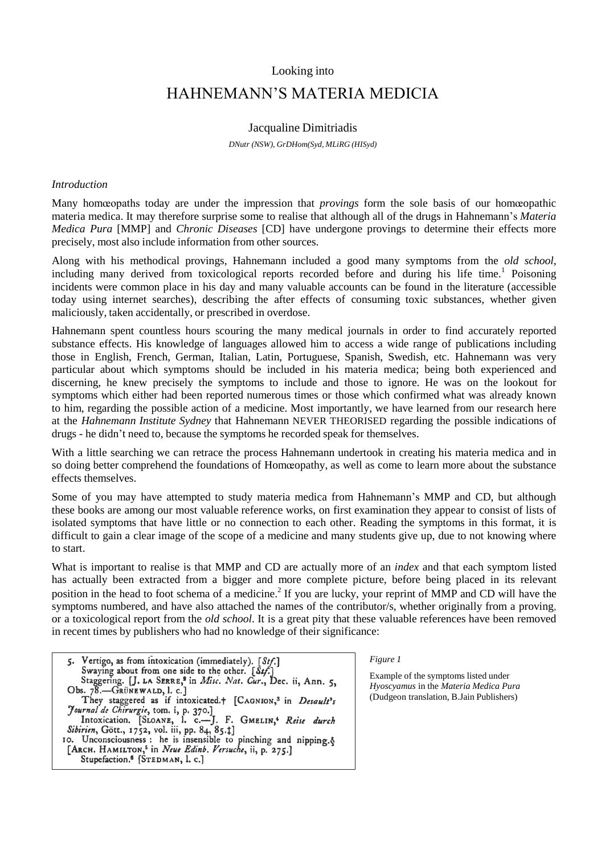# Looking into

# HAHNEMANN'S MATERIA MEDICIA

## Jacqualine Dimitriadis

*DNutr (NSW), GrDHom(Syd, MLiRG (HISyd)*

#### *Introduction*

Many homœopaths today are under the impression that *provings* form the sole basis of our homœopathic materia medica. It may therefore surprise some to realise that although all of the drugs in Hahnemann's *Materia Medica Pura* [MMP] and *Chronic Diseases* [CD] have undergone provings to determine their effects more precisely, most also include information from other sources.

Along with his methodical provings, Hahnemann included a good many symptoms from the *old school*, including many derived from toxicological reports recorded before and during his life time.<sup>1</sup> Poisoning incidents were common place in his day and many valuable accounts can be found in the literature (accessible today using internet searches), describing the after effects of consuming toxic substances, whether given maliciously, taken accidentally, or prescribed in overdose.

Hahnemann spent countless hours scouring the many medical journals in order to find accurately reported substance effects. His knowledge of languages allowed him to access a wide range of publications including those in English, French, German, Italian, Latin, Portuguese, Spanish, Swedish, etc. Hahnemann was very particular about which symptoms should be included in his materia medica; being both experienced and discerning, he knew precisely the symptoms to include and those to ignore. He was on the lookout for symptoms which either had been reported numerous times or those which confirmed what was already known to him, regarding the possible action of a medicine. Most importantly, we have learned from our research here at the *Hahnemann Institute Sydney* that Hahnemann NEVER THEORISED regarding the possible indications of drugs - he didn't need to, because the symptoms he recorded speak for themselves.

With a little searching we can retrace the process Hahnemann undertook in creating his materia medica and in so doing better comprehend the foundations of Homœopathy, as well as come to learn more about the substance effects themselves.

Some of you may have attempted to study materia medica from Hahnemann's MMP and CD, but although these books are among our most valuable reference works, on first examination they appear to consist of lists of isolated symptoms that have little or no connection to each other. Reading the symptoms in this format, it is difficult to gain a clear image of the scope of a medicine and many students give up, due to not knowing where to start.

What is important to realise is that MMP and CD are actually more of an *index* and that each symptom listed has actually been extracted from a bigger and more complete picture, before being placed in its relevant position in the head to foot schema of a medicine.<sup>2</sup> If you are lucky, your reprint of MMP and CD will have the symptoms numbered, and have also attached the names of the contributor/s, whether originally from a proving, or a toxicological report from the *old school*. It is a great pity that these valuable references have been removed in recent times by publishers who had no knowledge of their significance:

Vertigo, as from intoxication (immediately). [Stf.]  $5.$ Swaying about from one side to the other. [Stf.] Staggering. [J. LA SERRE,<sup>3</sup> in Misc. Nat. Cur., Dec. ii, Ann. 5, Obs. 78.—GRÜNEWALD, l. c.] Unit, They staggered as if intoxicated.+ [CAGNION,<sup>3</sup> in Desault's<br>
They staggered as if intoxicated.+ [CAGNION,<sup>3</sup> in Desault's<br>
Journal de Chirurgie, tom. i, p. 370.]<br>
Intoxication. [SLOANE, 1. c.—J. F. GMELIN,<sup>4</sup> Reise Stupefaction.<sup>6</sup> [STEDMAN, l. c.]

*Figure 1*

Example of the symptoms listed under *Hyoscyamus* in the *Materia Medica Pura*  (Dudgeon translation, B.Jain Publishers)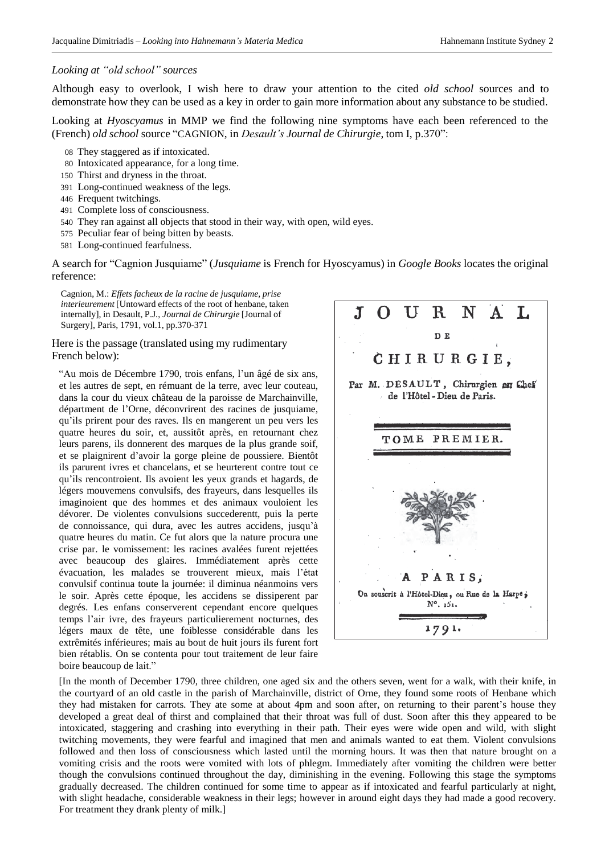#### *Looking at "old school" sources*

Although easy to overlook, I wish here to draw your attention to the cited *old school* sources and to demonstrate how they can be used as a key in order to gain more information about any substance to be studied.

Looking at *Hyoscyamus* in MMP we find the following nine symptoms have each been referenced to the (French) *old school* source "CAGNION, in *Desault's Journal de Chirurgie*, tom I, p.370":

- 08 They staggered as if intoxicated.
- 80 Intoxicated appearance, for a long time.
- 150 Thirst and dryness in the throat.
- 391 Long-continued weakness of the legs.
- 446 Frequent twitchings.
- 491 Complete loss of consciousness.
- 540 They ran against all objects that stood in their way, with open, wild eyes.
- 575 Peculiar fear of being bitten by beasts.
- 581 Long-continued fearfulness.

A search for "Cagnion Jusquiame" (*Jusquiame* is French for Hyoscyamus) in *Google Books* locates the original reference:

Cagnion, M.: *Effets facheux de la racine de jusquiame, prise interieurement* [Untoward effects of the root of henbane, taken internally], in Desault, P.J., *Journal de Chirurgie* [Journal of Surgery], Paris, 1791, vol.1, pp.370-371

## Here is the passage (translated using my rudimentary French below):

―Au mois de Décembre 1790, trois enfans, l'un âgé de six ans, et les autres de sept, en rémuant de la terre, avec leur couteau, dans la cour du vieux château de la paroisse de Marchainville, départment de l'Orne, déconvrirent des racines de jusquiame, qu'ils prirent pour des raves. Ils en mangerent un peu vers les quatre heures du soir, et, aussitôt après, en retournant chez leurs parens, ils donnerent des marques de la plus grande soif, et se plaignirent d'avoir la gorge pleine de poussiere. Bientôt ils parurent ivres et chancelans, et se heurterent contre tout ce qu'ils rencontroient. Ils avoient les yeux grands et hagards, de légers mouvemens convulsifs, des frayeurs, dans lesquelles ils imaginoient que des hommes et des animaux vouloient les dévorer. De violentes convulsions succederentt, puis la perte de connoissance, qui dura, avec les autres accidens, jusqu'à quatre heures du matin. Ce fut alors que la nature procura une crise par. le vomissement: les racines avalées furent rejettées avec beaucoup des glaires. Immédiatement après cette évacuation, les malades se trouverent mieux, mais l'état convulsif continua toute la journée: il diminua néanmoins vers le soir. Après cette époque, les accidens se dissiperent par degrés. Les enfans conserverent cependant encore quelques temps l'air ivre, des frayeurs particulierement nocturnes, des légers maux de tête, une foiblesse considérable dans les extrêmités inférieures; mais au bout de huit jours ils furent fort bien rétablis. On se contenta pour tout traitement de leur faire boire beaucoup de lait."



[In the month of December 1790, three children, one aged six and the others seven, went for a walk, with their knife, in the courtyard of an old castle in the parish of Marchainville, district of Orne, they found some roots of Henbane which they had mistaken for carrots. They ate some at about 4pm and soon after, on returning to their parent's house they developed a great deal of thirst and complained that their throat was full of dust. Soon after this they appeared to be intoxicated, staggering and crashing into everything in their path. Their eyes were wide open and wild, with slight twitching movements, they were fearful and imagined that men and animals wanted to eat them. Violent convulsions followed and then loss of consciousness which lasted until the morning hours. It was then that nature brought on a vomiting crisis and the roots were vomited with lots of phlegm. Immediately after vomiting the children were better though the convulsions continued throughout the day, diminishing in the evening. Following this stage the symptoms gradually decreased. The children continued for some time to appear as if intoxicated and fearful particularly at night, with slight headache, considerable weakness in their legs; however in around eight days they had made a good recovery. For treatment they drank plenty of milk.]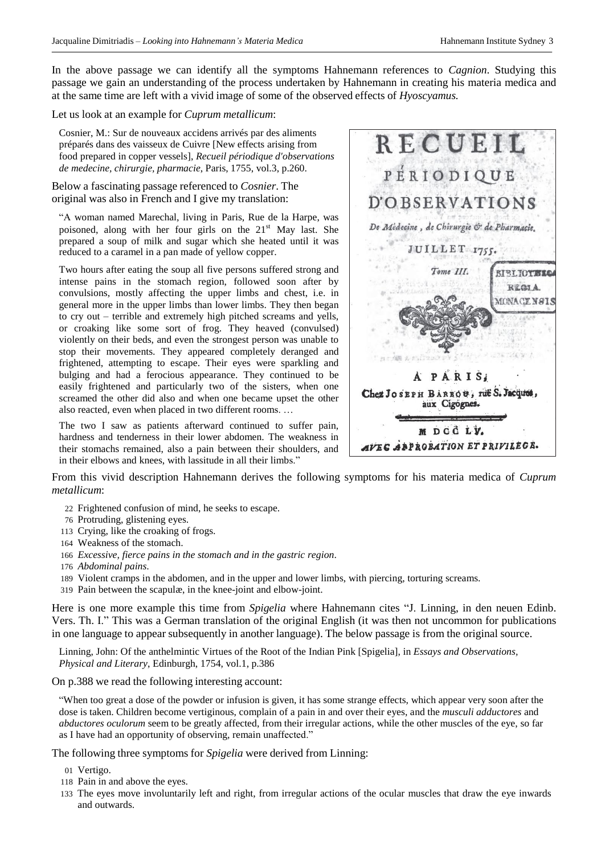In the above passage we can identify all the symptoms Hahnemann references to *Cagnion*. Studying this passage we gain an understanding of the process undertaken by Hahnemann in creating his materia medica and at the same time are left with a vivid image of some of the observed effects of *Hyoscyamus.*

# Let us look at an example for *Cuprum metallicum*:

Cosnier, M.: Sur de nouveaux accidens arrivés par des aliments préparés dans des vaisseux de Cuivre [New effects arising from food prepared in copper vessels], *Recueil périodique d'observations de medecine, chirurgie, pharmacie*, Paris, 1755, vol.3, p.260.

## Below a fascinating passage referenced to *Cosnier*. The original was also in French and I give my translation:

―A woman named Marechal, living in Paris, Rue de la Harpe, was poisoned, along with her four girls on the 21<sup>st</sup> May last. She prepared a soup of milk and sugar which she heated until it was reduced to a caramel in a pan made of yellow copper.

Two hours after eating the soup all five persons suffered strong and intense pains in the stomach region, followed soon after by convulsions, mostly affecting the upper limbs and chest, i.e. in general more in the upper limbs than lower limbs. They then began to cry out – terrible and extremely high pitched screams and yells, or croaking like some sort of frog. They heaved (convulsed) violently on their beds, and even the strongest person was unable to stop their movements. They appeared completely deranged and frightened, attempting to escape. Their eyes were sparkling and bulging and had a ferocious appearance. They continued to be easily frightened and particularly two of the sisters, when one screamed the other did also and when one became upset the other also reacted, even when placed in two different rooms. …

The two I saw as patients afterward continued to suffer pain, hardness and tenderness in their lower abdomen. The weakness in their stomachs remained, also a pain between their shoulders, and in their elbows and knees, with lassitude in all their limbs."



From this vivid description Hahnemann derives the following symptoms for his materia medica of *Cuprum metallicum*:

- 22 Frightened confusion of mind, he seeks to escape.
- 76 Protruding, glistening eyes.
- 113 Crying, like the croaking of frogs.
- 164 Weakness of the stomach.
- 166 *Excessive, fierce pains in the stomach and in the gastric region*.
- 176 *Abdominal pains*.
- 189 Violent cramps in the abdomen, and in the upper and lower limbs, with piercing, torturing screams.
- 319 Pain between the scapulæ, in the knee-joint and elbow-joint.

Here is one more example this time from *Spigelia* where Hahnemann cites "J. Linning, in den neuen Edinb. Vers. Th. I." This was a German translation of the original English (it was then not uncommon for publications in one language to appear subsequently in another language). The below passage is from the original source.

Linning, John: Of the anthelmintic Virtues of the Root of the Indian Pink [Spigelia], in *Essays and Observations, Physical and Literary*, Edinburgh, 1754, vol.1, p.386

On p.388 we read the following interesting account:

―When too great a dose of the powder or infusion is given, it has some strange effects, which appear very soon after the dose is taken. Children become vertiginous, complain of a pain in and over their eyes, and the *musculi adductores* and *abductores oculorum* seem to be greatly affected, from their irregular actions, while the other muscles of the eye, so far as I have had an opportunity of observing, remain unaffected."

The following three symptoms for *Spigelia* were derived from Linning:

- 01 Vertigo.
- 118 Pain in and above the eyes.
- 133 The eyes move involuntarily left and right, from irregular actions of the ocular muscles that draw the eye inwards and outwards.